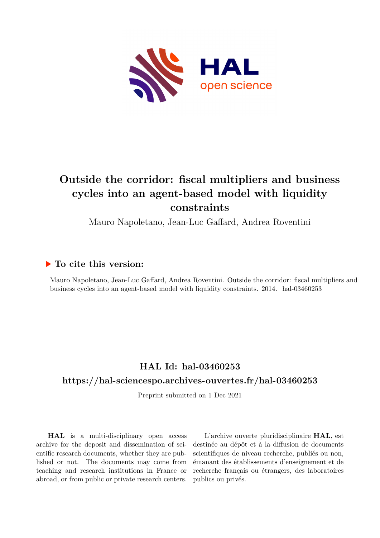

## **Outside the corridor: fiscal multipliers and business cycles into an agent-based model with liquidity constraints**

Mauro Napoletano, Jean-Luc Gaffard, Andrea Roventini

### **To cite this version:**

Mauro Napoletano, Jean-Luc Gaffard, Andrea Roventini. Outside the corridor: fiscal multipliers and business cycles into an agent-based model with liquidity constraints.  $2014$ . hal- $03460253$ 

## **HAL Id: hal-03460253**

### **<https://hal-sciencespo.archives-ouvertes.fr/hal-03460253>**

Preprint submitted on 1 Dec 2021

**HAL** is a multi-disciplinary open access archive for the deposit and dissemination of scientific research documents, whether they are published or not. The documents may come from teaching and research institutions in France or abroad, or from public or private research centers.

L'archive ouverte pluridisciplinaire **HAL**, est destinée au dépôt et à la diffusion de documents scientifiques de niveau recherche, publiés ou non, émanant des établissements d'enseignement et de recherche français ou étrangers, des laboratoires publics ou privés.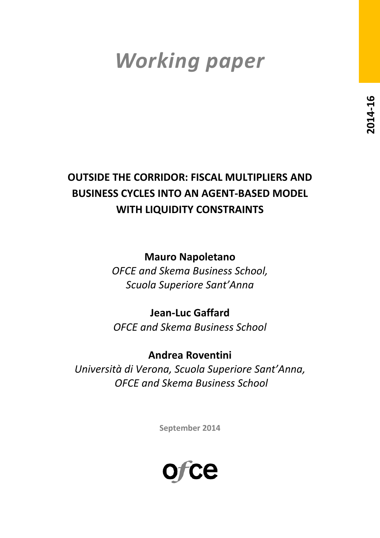# *Working paper*

## **OUTSIDE THE CORRIDOR: FISCAL MULTIPLIERS AND BUSINESS CYCLES INTO AN AGENT-BASED MODEL WITH LIQUIDITY CONSTRAINTS**

**Mauro Napoletano**

*OFCE and Skema Business School, Scuola Superiore Sant'Anna*

**Jean-Luc Gaffard** *OFCE and Skema Business School*

**Andrea Roventini** *Università di Verona, Scuola Superiore Sant'Anna, OFCE and Skema Business School* 

**September 2014**

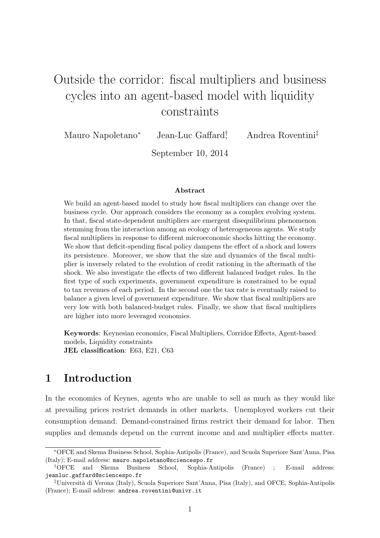## Outside the corridor: fiscal multipliers and business cycles into an agent-based model with liquidity constraints

Mauro Napoletano<sup>∗</sup> Jean-Luc Gaffard†

, Andrea Roventini‡

September 10, 2014

#### Abstract

We build an agent-based model to study how fiscal multipliers can change over the business cycle. Our approach considers the economy as a complex evolving system. In that, fiscal state-dependent multipliers are emergent disequilibrium phenomenon stemming from the interaction among an ecology of heterogeneous agents. We study fiscal multipliers in response to different microeconomic shocks hitting the economy. We show that deficit-spending fiscal policy dampens the effect of a shock and lowers its persistence. Moreover, we show that the size and dynamics of the fiscal multiplier is inversely related to the evolution of credit rationing in the aftermath of the shock. We also investigate the effects of two different balanced budget rules. In the first type of such experiments, government expenditure is constrained to be equal to tax revenues of each period. In the second one the tax rate is eventually raised to balance a given level of government expenditure. We show that fiscal multipliers are very low with both balanced-budget rules. Finally, we show that fiscal multipliers are higher into more leveraged economies.

Keywords: Keynesian economics, Fiscal Multipliers, Corridor Effects, Agent-based models, Liquidity constraints JEL classification: E63, E21, C63

## 1 Introduction

In the economics of Keynes, agents who are unable to sell as much as they would like at prevailing prices restrict demands in other markets. Unemployed workers cut their consumption demand. Demand-constrained firms restrict their demand for labor. Then supplies and demands depend on the current income and and multiplier effects matter.

<sup>∗</sup>OFCE and Skema Business School, Sophia-Antipolis (France), and Scuola Superiore Sant'Anna, Pisa (Italy); E-mail address: mauro.napoletano@sciencespo.fr

<sup>†</sup>OFCE and Skema Business School, Sophia-Antipolis (France) ; E-mail address: jeanluc.gaffard@sciencespo.fr

<sup>‡</sup>Universit`a di Verona (Italy), Scuola Superiore Sant'Anna, Pisa (Italy), and OFCE, Sophia-Antipolis (France); E-mail address: andrea.roventini@univr.it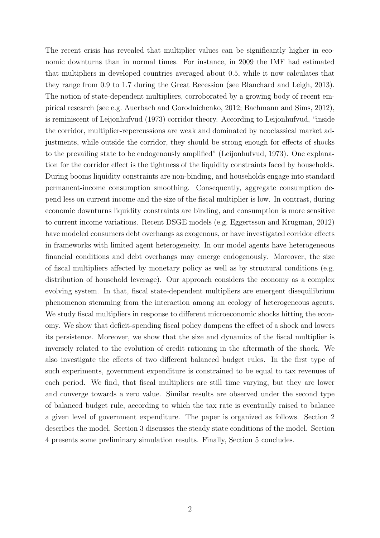The recent crisis has revealed that multiplier values can be significantly higher in economic downturns than in normal times. For instance, in 2009 the IMF had estimated that multipliers in developed countries averaged about 0.5, while it now calculates that they range from 0.9 to 1.7 during the Great Recession (see Blanchard and Leigh, 2013). The notion of state-dependent multipliers, corroborated by a growing body of recent empirical research (see e.g. Auerbach and Gorodnichenko, 2012; Bachmann and Sims, 2012), is reminiscent of Leijonhufvud (1973) corridor theory. According to Leijonhufvud, "inside the corridor, multiplier-repercussions are weak and dominated by neoclassical market adjustments, while outside the corridor, they should be strong enough for effects of shocks to the prevailing state to be endogenously amplified" (Leijonhufvud, 1973). One explanation for the corridor effect is the tightness of the liquidity constraints faced by households. During booms liquidity constraints are non-binding, and households engage into standard permanent-income consumption smoothing. Consequently, aggregate consumption depend less on current income and the size of the fiscal multiplier is low. In contrast, during economic downturns liquidity constraints are binding, and consumption is more sensitive to current income variations. Recent DSGE models (e.g. Eggertsson and Krugman, 2012) have modeled consumers debt overhangs as exogenous, or have investigated corridor effects in frameworks with limited agent heterogeneity. In our model agents have heterogeneous financial conditions and debt overhangs may emerge endogenously. Moreover, the size of fiscal multipliers affected by monetary policy as well as by structural conditions (e.g. distribution of household leverage). Our approach considers the economy as a complex evolving system. In that, fiscal state-dependent multipliers are emergent disequilibrium phenomenon stemming from the interaction among an ecology of heterogeneous agents. We study fiscal multipliers in response to different microeconomic shocks hitting the economy. We show that deficit-spending fiscal policy dampens the effect of a shock and lowers its persistence. Moreover, we show that the size and dynamics of the fiscal multiplier is inversely related to the evolution of credit rationing in the aftermath of the shock. We also investigate the effects of two different balanced budget rules. In the first type of such experiments, government expenditure is constrained to be equal to tax revenues of each period. We find, that fiscal multipliers are still time varying, but they are lower and converge towards a zero value. Similar results are observed under the second type of balanced budget rule, according to which the tax rate is eventually raised to balance a given level of government expenditure. The paper is organized as follows. Section [2](#page-4-0) describes the model. Section [3](#page-7-0) discusses the steady state conditions of the model. Section [4](#page-9-0) presents some preliminary simulation results. Finally, Section [5](#page-13-0) concludes.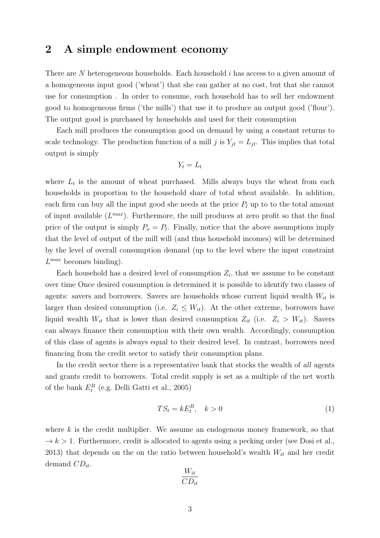## <span id="page-4-0"></span>2 A simple endowment economy

There are N heterogeneous households. Each household i has access to a given amount of a homogeneous input good ('wheat') that she can gather at no cost, but that she cannot use for consumption . In order to consume, each household has to sell her endowment good to homogeneous firms ('the mills') that use it to produce an output good ('flour'). The output good is purchased by households and used for their consumption

Each mill produces the consumption good on demand by using a constant returns to scale technology. The production function of a mill j is  $Y_{jt} = L_{jt}$ . This implies that total output is simply

$$
Y_t = L_t
$$

where  $L_t$  is the amount of wheat purchased. Mills always buys the wheat from each households in proportion to the household share of total wheat available. In addition, each firm can buy all the input good she needs at the price  $P_l$  up to to the total amount of input available  $(L^{max})$ . Furthermore, the mill produces at zero profit so that the final price of the output is simply  $P_o = P_l$ . Finally, notice that the above assumptions imply that the level of output of the mill will (and thus household incomes) will be determined by the level of overall consumption demand (up to the level where the input constraint  $L^{max}$  becomes binding).

Each household has a desired level of consumption  $Z_i$ , that we assume to be constant over time Once desired consumption is determined it is possible to identify two classes of agents: savers and borrowers. Savers are households whose current liquid wealth  $W_{it}$  is larger than desired consumption (i.e.  $Z_i \leq W_{it}$ ). At the other extreme, borrowers have liquid wealth  $W_{it}$  that is lower than desired consumption  $Z_{it}$  (i.e.  $Z_i > W_{it}$ ). Savers can always finance their consumption with their own wealth. Accordingly, consumption of this class of agents is always equal to their desired level. In contrast, borrowers need financing from the credit sector to satisfy their consumption plans.

In the credit sector there is a representative bank that stocks the wealth of all agents and grants credit to borrowers. Total credit supply is set as a multiple of the net worth of the bank  $E_t^B$  (e.g. Delli Gatti et al., 2005)

$$
TS_t = kE_t^B, \quad k > 0 \tag{1}
$$

where  $k$  is the credit multiplier. We assume an endogenous money framework, so that  $\rightarrow k > 1$ . Furthermore, credit is allocated to agents using a pecking order (see Dosi et al., 2013) that depends on the on the ratio between household's wealth  $W_{it}$  and her credit demand  $CD_{it}$ .

$$
\frac{W_{it}}{CD_{it}}
$$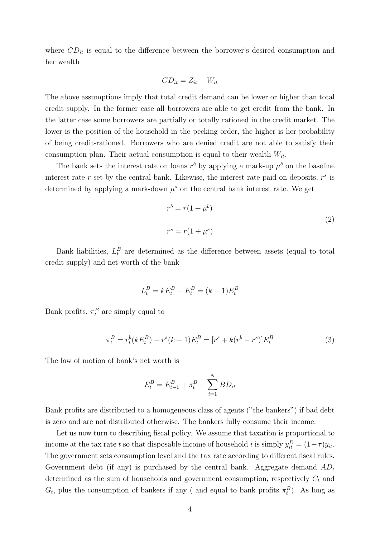where  $CD_{it}$  is equal to the difference between the borrower's desired consumption and her wealth

$$
CD_{it} = Z_{it} - W_{it}
$$

The above assumptions imply that total credit demand can be lower or higher than total credit supply. In the former case all borrowers are able to get credit from the bank. In the latter case some borrowers are partially or totally rationed in the credit market. The lower is the position of the household in the pecking order, the higher is her probability of being credit-rationed. Borrowers who are denied credit are not able to satisfy their consumption plan. Their actual consumption is equal to their wealth  $W_{it}$ .

The bank sets the interest rate on loans  $r^b$  by applying a mark-up  $\mu^b$  on the baseline interest rate r set by the central bank. Likewise, the interest rate paid on deposits,  $r<sup>s</sup>$  is determined by applying a mark-down  $\mu^s$  on the central bank interest rate. We get

$$
r^{b} = r(1 + \mu^{b})
$$
  

$$
r^{s} = r(1 + \mu^{s})
$$
 (2)

Bank liabilities,  $L_t^B$  are determined as the difference between assets (equal to total credit supply) and net-worth of the bank

$$
L_t^B = kE_t^B - E_t^B = (k-1)E_t^B
$$

Bank profits,  $\pi_t^B$  are simply equal to

$$
\pi_t^B = r_t^b(kE_t^B) - r^s(k-1)E_t^B = [r^s + k(r^b - r^s)]E_t^B
$$
\n(3)

The law of motion of bank's net worth is

$$
E_t^B = E_{t-1}^B + \pi_t^B - \sum_{i=1}^N BD_{it}
$$

Bank profits are distributed to a homogeneous class of agents ("the bankers") if bad debt is zero and are not distributed otherwise. The bankers fully consume their income.

Let us now turn to describing fiscal policy. We assume that taxation is proportional to income at the tax rate t so that disposable income of household i is simply  $y_{it}^D = (1 - \tau)y_{it}$ . The government sets consumption level and the tax rate according to different fiscal rules. Government debt (if any) is purchased by the central bank. Aggregate demand  $AD_t$ determined as the sum of households and government consumption, respectively  $C_t$  and  $G_t$ , plus the consumption of bankers if any ( and equal to bank profits  $\pi_t^B$ ). As long as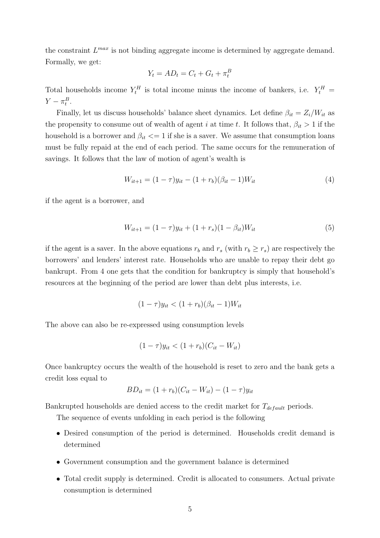the constraint  $L^{max}$  is not binding aggregate income is determined by aggregate demand. Formally, we get:

$$
Y_t = AD_t = C_t + G_t + \pi_t^B
$$

Total households income  $Y_t^H$  is total income minus the income of bankers, i.e.  $Y_t^H$  =  $Y - \pi_t^B$ .

Finally, let us discuss households' balance sheet dynamics. Let define  $\beta_{it} = Z_i/W_{it}$  as the propensity to consume out of wealth of agent i at time t. It follows that,  $\beta_{it} > 1$  if the household is a borrower and  $\beta_{it} \leq 1$  if she is a saver. We assume that consumption loans must be fully repaid at the end of each period. The same occurs for the remuneration of savings. It follows that the law of motion of agent's wealth is

$$
W_{it+1} = (1 - \tau)y_{it} - (1 + r_b)(\beta_{it} - 1)W_{it}
$$
\n<sup>(4)</sup>

if the agent is a borrower, and

$$
W_{it+1} = (1 - \tau)y_{it} + (1 + r_s)(1 - \beta_{it})W_{it}
$$
\n<sup>(5)</sup>

if the agent is a saver. In the above equations  $r_b$  and  $r_s$  (with  $r_b \geq r_s$ ) are respectively the borrowers' and lenders' interest rate. Households who are unable to repay their debt go bankrupt. From 4 one gets that the condition for bankruptcy is simply that household's resources at the beginning of the period are lower than debt plus interests, i.e.

$$
(1 - \tau)y_{it} < (1 + r_b)(\beta_{it} - 1)W_{it}
$$

The above can also be re-expressed using consumption levels

$$
(1 - \tau)y_{it} < (1 + r_b)(C_{it} - W_{it})
$$

Once bankruptcy occurs the wealth of the household is reset to zero and the bank gets a credit loss equal to

$$
BD_{it} = (1 + r_b)(C_{it} - W_{it}) - (1 - \tau)y_{it}
$$

Bankrupted households are denied access to the credit market for  $T_{default}$  periods.

The sequence of events unfolding in each period is the following

- Desired consumption of the period is determined. Households credit demand is determined
- Government consumption and the government balance is determined
- Total credit supply is determined. Credit is allocated to consumers. Actual private consumption is determined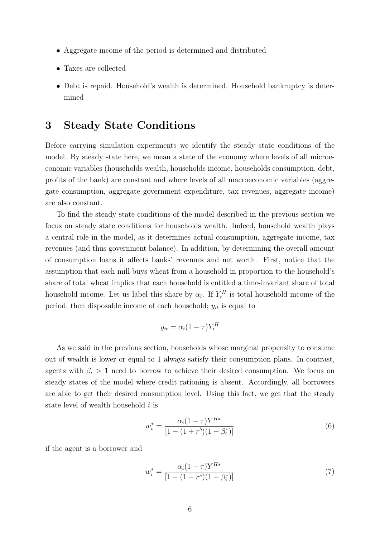- Aggregate income of the period is determined and distributed
- Taxes are collected
- Debt is repaid. Household's wealth is determined. Household bankruptcy is determined

## <span id="page-7-0"></span>3 Steady State Conditions

Before carrying simulation experiments we identify the steady state conditions of the model. By steady state here, we mean a state of the economy where levels of all microeconomic variables (households wealth, households income, households consumption, debt, profits of the bank) are constant and where levels of all macroeconomic variables (aggregate consumption, aggregate government expenditure, tax revenues, aggregate income) are also constant.

To find the steady state conditions of the model described in the previous section we focus on steady state conditions for households wealth. Indeed, household wealth plays a central role in the model, as it determines actual consumption, aggregate income, tax revenues (and thus government balance). In addition, by determining the overall amount of consumption loans it affects banks' revenues and net worth. First, notice that the assumption that each mill buys wheat from a household in proportion to the household's share of total wheat implies that each household is entitled a time-invariant share of total household income. Let us label this share by  $\alpha_i$ . If  $Y_t^H$  is total household income of the period, then disposable income of each household;  $y_{it}$  is equal to

$$
y_{it} = \alpha_i (1 - \tau) Y_t^H
$$

As we said in the previous section, households whose marginal propensity to consume out of wealth is lower or equal to 1 always satisfy their consumption plans. In contrast, agents with  $\beta_i > 1$  need to borrow to achieve their desired consumption. We focus on steady states of the model where credit rationing is absent. Accordingly, all borrowers are able to get their desired consumption level. Using this fact, we get that the steady state level of wealth household i is

$$
w_i^* = \frac{\alpha_i (1 - \tau) Y^{H*}}{[1 - (1 + r^b)(1 - \beta_i^*)]}
$$
(6)

if the agent is a borrower and

$$
w_i^* = \frac{\alpha_i (1 - \tau) Y^{H*}}{[1 - (1 + r^s)(1 - \beta_i^*)]}
$$
(7)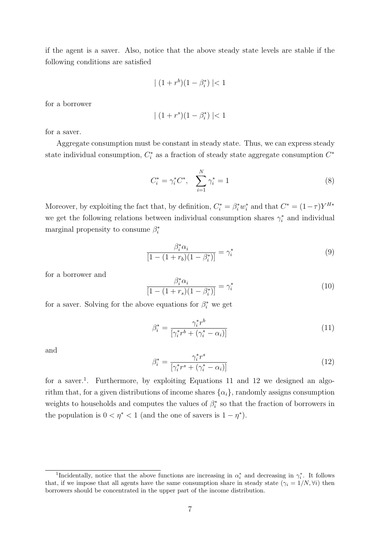if the agent is a saver. Also, notice that the above steady state levels are stable if the following conditions are satisfied

$$
| (1 + r^{b})(1 - \beta_{i}^{*}) | < 1
$$

for a borrower

$$
\mid (1+r^s)(1-\beta_i^*)\mid < 1
$$

for a saver.

Aggregate consumption must be constant in steady state. Thus, we can express steady state individual consumption,  $C_i^*$  as a fraction of steady state aggregate consumption  $C^*$ 

$$
C_i^* = \gamma_i^* C^*, \quad \sum_{i=1}^N \gamma_i^* = 1 \tag{8}
$$

Moreover, by exploiting the fact that, by definition,  $C_i^* = \beta_i^* w_i^*$  and that  $C^* = (1 - \tau) Y^{H*}$ we get the following relations between individual consumption shares  $\gamma_i^*$  and individual marginal propensity to consume  $\beta_i^*$ 

$$
\frac{\beta_i^* \alpha_i}{[1 - (1 + r_b)(1 - \beta_i^*)]} = \gamma_i^*
$$
\n(9)

for a borrower and

$$
\frac{\beta_i^* \alpha_i}{[1 - (1 + r_s)(1 - \beta_i^*)]} = \gamma_i^* \tag{10}
$$

for a saver. Solving for the above equations for  $\beta_i^*$  we get

$$
\beta_i^* = \frac{\gamma_i^* r^b}{\left[\gamma_i^* r^b + (\gamma_i^* - \alpha_i)\right]}
$$
\n(11)

and

$$
\beta_i^* = \frac{\gamma_i^* r^s}{\left[\gamma_i^* r^s + (\gamma_i^* - \alpha_i)\right]}
$$
\n(12)

for a saver.<sup>1</sup>. Furthermore, by exploiting Equations 11 and 12 we designed an algorithm that, for a given distributions of income shares  $\{\alpha_i\}$ , randomly assigns consumption weights to households and computes the values of  $\beta_i^*$  so that the fraction of borrowers in the population is  $0 < \eta^* < 1$  (and the one of savers is  $1 - \eta^*$ ).

<sup>&</sup>lt;sup>1</sup>Incidentally, notice that the above functions are increasing in  $\alpha_i^*$  and decreasing in  $\gamma_i^*$ . It follows that, if we impose that all agents have the same consumption share in steady state  $(\gamma_i = 1/N, \forall i)$  then borrowers should be concentrated in the upper part of the income distribution.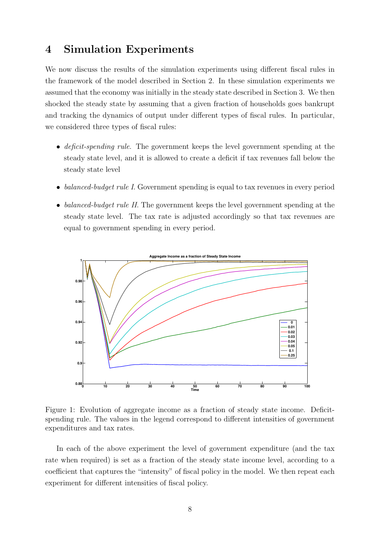## <span id="page-9-0"></span>4 Simulation Experiments

We now discuss the results of the simulation experiments using different fiscal rules in the framework of the model described in Section [2.](#page-4-0) In these simulation experiments we assumed that the economy was initially in the steady state described in Section [3.](#page-7-0) We then shocked the steady state by assuming that a given fraction of households goes bankrupt and tracking the dynamics of output under different types of fiscal rules. In particular, we considered three types of fiscal rules:

- deficit-spending rule. The government keeps the level government spending at the steady state level, and it is allowed to create a deficit if tax revenues fall below the steady state level
- balanced-budget rule I. Government spending is equal to tax revenues in every period
- balanced-budget rule II. The government keeps the level government spending at the steady state level. The tax rate is adjusted accordingly so that tax revenues are equal to government spending in every period.



Figure 1: Evolution of aggregate income as a fraction of steady state income. Deficitspending rule. The values in the legend correspond to different intensities of government expenditures and tax rates.

In each of the above experiment the level of government expenditure (and the tax rate when required) is set as a fraction of the steady state income level, according to a coefficient that captures the "intensity" of fiscal policy in the model. We then repeat each experiment for different intensities of fiscal policy.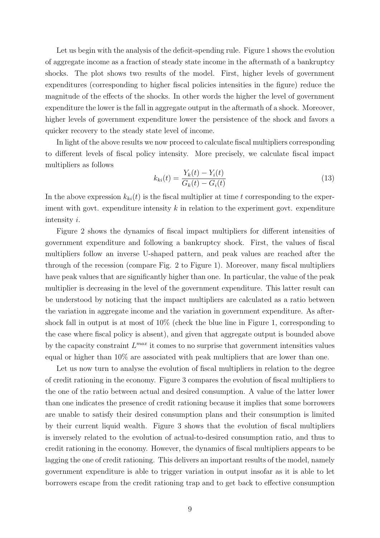Let us begin with the analysis of the deficit-spending rule. Figure 1 shows the evolution of aggregate income as a fraction of steady state income in the aftermath of a bankruptcy shocks. The plot shows two results of the model. First, higher levels of government expenditures (corresponding to higher fiscal policies intensities in the figure) reduce the magnitude of the effects of the shocks. In other words the higher the level of government expenditure the lower is the fall in aggregate output in the aftermath of a shock. Moreover, higher levels of government expenditure lower the persistence of the shock and favors a quicker recovery to the steady state level of income.

In light of the above results we now proceed to calculate fiscal multipliers corresponding to different levels of fiscal policy intensity. More precisely, we calculate fiscal impact multipliers as follows

$$
k_{ki}(t) = \frac{Y_k(t) - Y_i(t)}{G_k(t) - G_i(t)}
$$
\n(13)

In the above expression  $k_{ki}(t)$  is the fiscal multiplier at time t corresponding to the experiment with govt. expenditure intensity  $k$  in relation to the experiment govt. expenditure intensity i.

Figure 2 shows the dynamics of fiscal impact multipliers for different intensities of government expenditure and following a bankruptcy shock. First, the values of fiscal multipliers follow an inverse U-shaped pattern, and peak values are reached after the through of the recession (compare Fig. 2 to Figure 1). Moreover, many fiscal multipliers have peak values that are significantly higher than one. In particular, the value of the peak multiplier is decreasing in the level of the government expenditure. This latter result can be understood by noticing that the impact multipliers are calculated as a ratio between the variation in aggregate income and the variation in government expenditure. As aftershock fall in output is at most of 10% (check the blue line in Figure 1, corresponding to the case where fiscal policy is absent), and given that aggregate output is bounded above by the capacity constraint  $L^{max}$  it comes to no surprise that government intensities values equal or higher than 10% are associated with peak multipliers that are lower than one.

Let us now turn to analyse the evolution of fiscal multipliers in relation to the degree of credit rationing in the economy. Figure 3 compares the evolution of fiscal multipliers to the one of the ratio between actual and desired consumption. A value of the latter lower than one indicates the presence of credit rationing because it implies that some borrowers are unable to satisfy their desired consumption plans and their consumption is limited by their current liquid wealth. Figure 3 shows that the evolution of fiscal multipliers is inversely related to the evolution of actual-to-desired consumption ratio, and thus to credit rationing in the economy. However, the dynamics of fiscal multipliers appears to be lagging the one of credit rationing. This delivers an important results of the model, namely government expenditure is able to trigger variation in output insofar as it is able to let borrowers escape from the credit rationing trap and to get back to effective consumption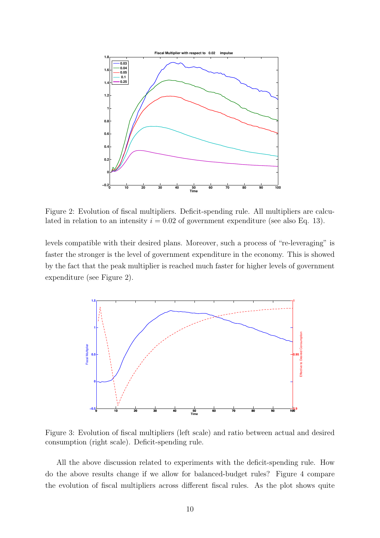

Figure 2: Evolution of fiscal multipliers. Deficit-spending rule. All multipliers are calculated in relation to an intensity  $i = 0.02$  of government expenditure (see also Eq. 13).

levels compatible with their desired plans. Moreover, such a process of "re-leveraging" is faster the stronger is the level of government expenditure in the economy. This is showed by the fact that the peak multiplier is reached much faster for higher levels of government expenditure (see Figure 2).



Figure 3: Evolution of fiscal multipliers (left scale) and ratio between actual and desired consumption (right scale). Deficit-spending rule.

All the above discussion related to experiments with the deficit-spending rule. How do the above results change if we allow for balanced-budget rules? Figure 4 compare the evolution of fiscal multipliers across different fiscal rules. As the plot shows quite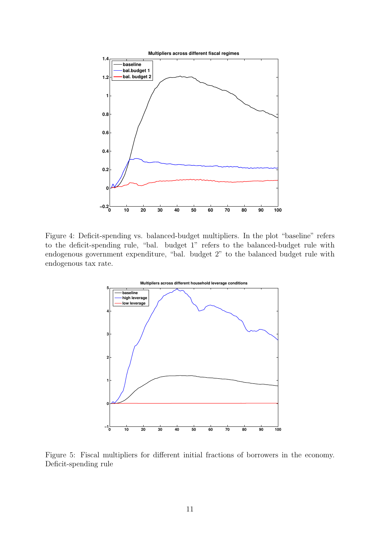

Figure 4: Deficit-spending vs. balanced-budget multipliers. In the plot "baseline" refers to the deficit-spending rule, "bal. budget 1" refers to the balanced-budget rule with endogenous government expenditure, "bal. budget 2" to the balanced budget rule with endogenous tax rate.



Figure 5: Fiscal multipliers for different initial fractions of borrowers in the economy. Deficit-spending rule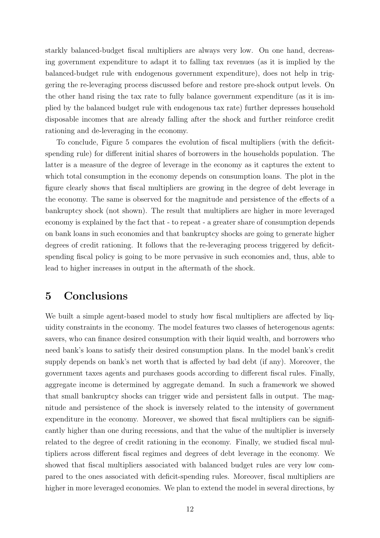starkly balanced-budget fiscal multipliers are always very low. On one hand, decreasing government expenditure to adapt it to falling tax revenues (as it is implied by the balanced-budget rule with endogenous government expenditure), does not help in triggering the re-leveraging process discussed before and restore pre-shock output levels. On the other hand rising the tax rate to fully balance government expenditure (as it is implied by the balanced budget rule with endogenous tax rate) further depresses household disposable incomes that are already falling after the shock and further reinforce credit rationing and de-leveraging in the economy.

To conclude, Figure 5 compares the evolution of fiscal multipliers (with the deficitspending rule) for different initial shares of borrowers in the households population. The latter is a measure of the degree of leverage in the economy as it captures the extent to which total consumption in the economy depends on consumption loans. The plot in the figure clearly shows that fiscal multipliers are growing in the degree of debt leverage in the economy. The same is observed for the magnitude and persistence of the effects of a bankruptcy shock (not shown). The result that multipliers are higher in more leveraged economy is explained by the fact that - to repeat - a greater share of consumption depends on bank loans in such economies and that bankruptcy shocks are going to generate higher degrees of credit rationing. It follows that the re-leveraging process triggered by deficitspending fiscal policy is going to be more pervasive in such economies and, thus, able to lead to higher increases in output in the aftermath of the shock.

## <span id="page-13-0"></span>5 Conclusions

We built a simple agent-based model to study how fiscal multipliers are affected by liquidity constraints in the economy. The model features two classes of heterogenous agents: savers, who can finance desired consumption with their liquid wealth, and borrowers who need bank's loans to satisfy their desired consumption plans. In the model bank's credit supply depends on bank's net worth that is affected by bad debt (if any). Moreover, the government taxes agents and purchases goods according to different fiscal rules. Finally, aggregate income is determined by aggregate demand. In such a framework we showed that small bankruptcy shocks can trigger wide and persistent falls in output. The magnitude and persistence of the shock is inversely related to the intensity of government expenditure in the economy. Moreover, we showed that fiscal multipliers can be significantly higher than one during recessions, and that the value of the multiplier is inversely related to the degree of credit rationing in the economy. Finally, we studied fiscal multipliers across different fiscal regimes and degrees of debt leverage in the economy. We showed that fiscal multipliers associated with balanced budget rules are very low compared to the ones associated with deficit-spending rules. Moreover, fiscal multipliers are higher in more leveraged economies. We plan to extend the model in several directions, by